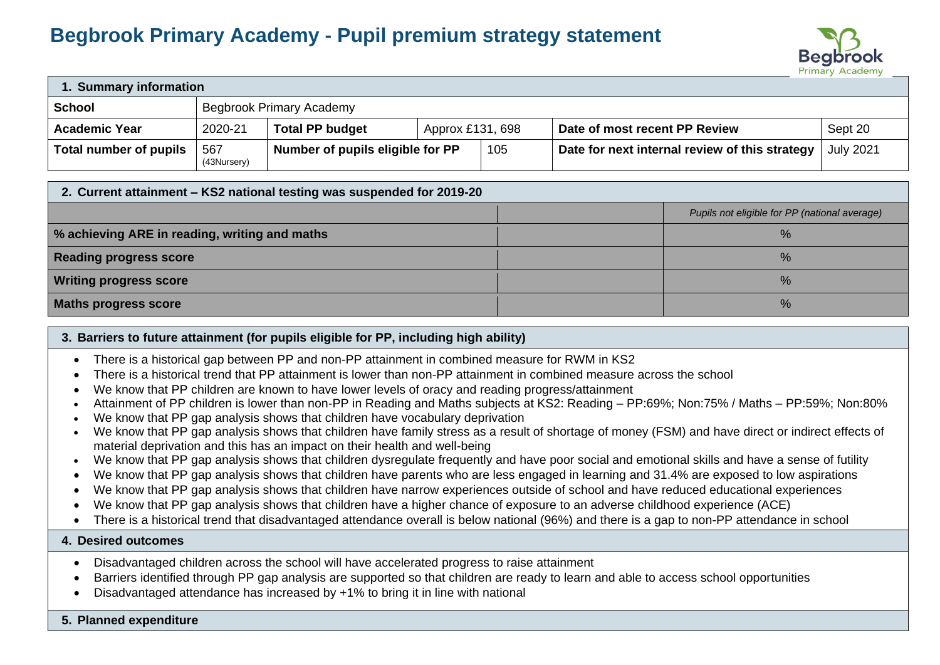# **Begbrook Primary Academy - Pupil premium strategy statement**



| . Summary information                     |                    |                                  |                  |     |                                                |                  |
|-------------------------------------------|--------------------|----------------------------------|------------------|-----|------------------------------------------------|------------------|
| <b>School</b><br>Begbrook Primary Academy |                    |                                  |                  |     |                                                |                  |
| <b>Academic Year</b>                      | 2020-21            | <b>Total PP budget</b>           | Approx £131, 698 |     | Date of most recent PP Review                  | Sept 20          |
| Total number of pupils                    | 567<br>(43Nursery) | Number of pupils eligible for PP |                  | 105 | Date for next internal review of this strategy | <b>July 2021</b> |

#### **2. Current attainment – KS2 national testing was suspended for 2019-20**

| $\sim$ . The magnetic communication is an interesting that complete $\sim$ . The $\sim$ |  |                                               |  |  |  |
|-----------------------------------------------------------------------------------------|--|-----------------------------------------------|--|--|--|
|                                                                                         |  | Pupils not eligible for PP (national average) |  |  |  |
| % achieving ARE in reading, writing and maths                                           |  | $\%$                                          |  |  |  |
| <b>Reading progress score</b>                                                           |  | $\%$                                          |  |  |  |
| <b>Writing progress score</b>                                                           |  | ℅                                             |  |  |  |
| Maths progress score                                                                    |  | $\%$                                          |  |  |  |

### **3. Barriers to future attainment (for pupils eligible for PP, including high ability)**

- There is a historical gap between PP and non-PP attainment in combined measure for RWM in KS2
- There is a historical trend that PP attainment is lower than non-PP attainment in combined measure across the school
- We know that PP children are known to have lower levels of oracy and reading progress/attainment
- Attainment of PP children is lower than non-PP in Reading and Maths subjects at KS2: Reading PP:69%; Non:75% / Maths PP:59%; Non:80%
- We know that PP gap analysis shows that children have vocabulary deprivation
- We know that PP gap analysis shows that children have family stress as a result of shortage of money (FSM) and have direct or indirect effects of material deprivation and this has an impact on their health and well-being
- We know that PP gap analysis shows that children dysregulate frequently and have poor social and emotional skills and have a sense of futility
- We know that PP gap analysis shows that children have parents who are less engaged in learning and 31.4% are exposed to low aspirations
- We know that PP gap analysis shows that children have narrow experiences outside of school and have reduced educational experiences
- We know that PP gap analysis shows that children have a higher chance of exposure to an adverse childhood experience (ACE)
- There is a historical trend that disadvantaged attendance overall is below national (96%) and there is a gap to non-PP attendance in school

#### **4. Desired outcomes**

- Disadvantaged children across the school will have accelerated progress to raise attainment
- Barriers identified through PP gap analysis are supported so that children are ready to learn and able to access school opportunities
- Disadvantaged attendance has increased by +1% to bring it in line with national

# **5. Planned expenditure**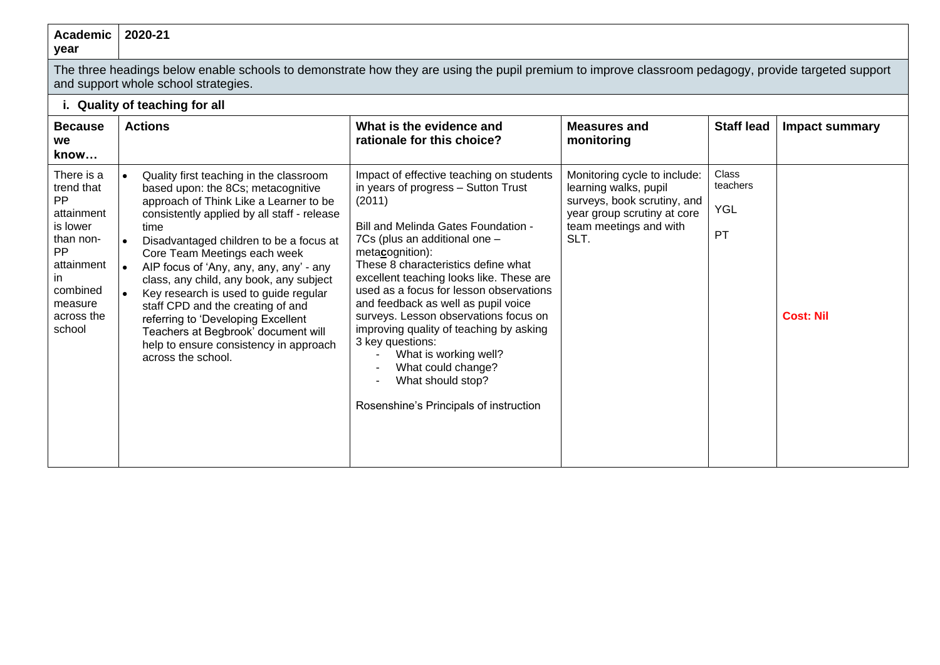#### **Academic year 2020-21**

The three headings below enable schools to demonstrate how they are using the pupil premium to improve classroom pedagogy, provide targeted support and support whole school strategies.

## **i. Quality of teaching for all**

| <b>Because</b><br>we<br>know                                                                                                                     | <b>Actions</b>                                                                                                                                                                                                                                                                                                                                                                                                                                                                                                                                                                                             | What is the evidence and<br>rationale for this choice?                                                                                                                                                                                                                                                                                                                                                                                                                                                                                                                                            | <b>Measures and</b><br>monitoring                                                                                                                     | <b>Staff lead</b>                     | <b>Impact summary</b> |
|--------------------------------------------------------------------------------------------------------------------------------------------------|------------------------------------------------------------------------------------------------------------------------------------------------------------------------------------------------------------------------------------------------------------------------------------------------------------------------------------------------------------------------------------------------------------------------------------------------------------------------------------------------------------------------------------------------------------------------------------------------------------|---------------------------------------------------------------------------------------------------------------------------------------------------------------------------------------------------------------------------------------------------------------------------------------------------------------------------------------------------------------------------------------------------------------------------------------------------------------------------------------------------------------------------------------------------------------------------------------------------|-------------------------------------------------------------------------------------------------------------------------------------------------------|---------------------------------------|-----------------------|
| There is a<br>trend that<br>PP.<br>attainment<br>is lower<br>than non-<br>PP.<br>attainment<br>ın<br>combined<br>measure<br>across the<br>school | Quality first teaching in the classroom<br>$\bullet$<br>based upon: the 8Cs; metacognitive<br>approach of Think Like a Learner to be<br>consistently applied by all staff - release<br>time<br>Disadvantaged children to be a focus at<br>۱۰<br>Core Team Meetings each week<br>AIP focus of 'Any, any, any, any' - any<br>class, any child, any book, any subject<br>Key research is used to guide regular<br>$\bullet$<br>staff CPD and the creating of and<br>referring to 'Developing Excellent<br>Teachers at Begbrook' document will<br>help to ensure consistency in approach<br>across the school. | Impact of effective teaching on students<br>in years of progress - Sutton Trust<br>(2011)<br>Bill and Melinda Gates Foundation -<br>7Cs (plus an additional one -<br>metacognition):<br>These 8 characteristics define what<br>excellent teaching looks like. These are<br>used as a focus for lesson observations<br>and feedback as well as pupil voice<br>surveys. Lesson observations focus on<br>improving quality of teaching by asking<br>3 key questions:<br>What is working well?<br>What could change?<br>What should stop?<br>$\blacksquare$<br>Rosenshine's Principals of instruction | Monitoring cycle to include:<br>learning walks, pupil<br>surveys, book scrutiny, and<br>year group scrutiny at core<br>team meetings and with<br>SLT. | Class<br>teachers<br><b>YGL</b><br>PT | <b>Cost: Nil</b>      |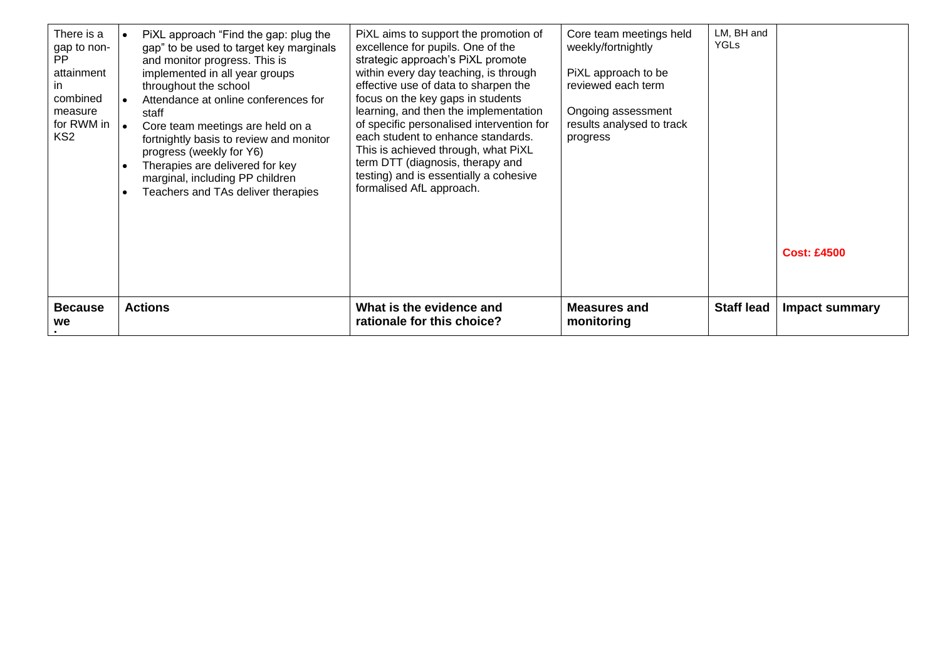| There is a<br>gap to non-<br>PP.<br>attainment<br>in.<br>combined<br>measure<br>for RWM in $\vert$ .<br>KS <sub>2</sub> | PiXL approach "Find the gap: plug the<br>gap" to be used to target key marginals<br>and monitor progress. This is<br>implemented in all year groups<br>throughout the school<br>Attendance at online conferences for<br>staff<br>Core team meetings are held on a<br>fortnightly basis to review and monitor<br>progress (weekly for Y6)<br>Therapies are delivered for key<br>$\bullet$<br>marginal, including PP children<br>Teachers and TAs deliver therapies | PiXL aims to support the promotion of<br>excellence for pupils. One of the<br>strategic approach's PiXL promote<br>within every day teaching, is through<br>effective use of data to sharpen the<br>focus on the key gaps in students<br>learning, and then the implementation<br>of specific personalised intervention for<br>each student to enhance standards.<br>This is achieved through, what PiXL<br>term DTT (diagnosis, therapy and<br>testing) and is essentially a cohesive<br>formalised AfL approach. | Core team meetings held<br>weekly/fortnightly<br>PiXL approach to be<br>reviewed each term<br>Ongoing assessment<br>results analysed to track<br>progress | LM, BH and<br><b>YGLs</b> | <b>Cost: £4500</b> |
|-------------------------------------------------------------------------------------------------------------------------|-------------------------------------------------------------------------------------------------------------------------------------------------------------------------------------------------------------------------------------------------------------------------------------------------------------------------------------------------------------------------------------------------------------------------------------------------------------------|--------------------------------------------------------------------------------------------------------------------------------------------------------------------------------------------------------------------------------------------------------------------------------------------------------------------------------------------------------------------------------------------------------------------------------------------------------------------------------------------------------------------|-----------------------------------------------------------------------------------------------------------------------------------------------------------|---------------------------|--------------------|
| <b>Because</b><br>we                                                                                                    | <b>Actions</b>                                                                                                                                                                                                                                                                                                                                                                                                                                                    | What is the evidence and<br>rationale for this choice?                                                                                                                                                                                                                                                                                                                                                                                                                                                             | Measures and<br>monitoring                                                                                                                                | <b>Staff lead</b>         | Impact summary     |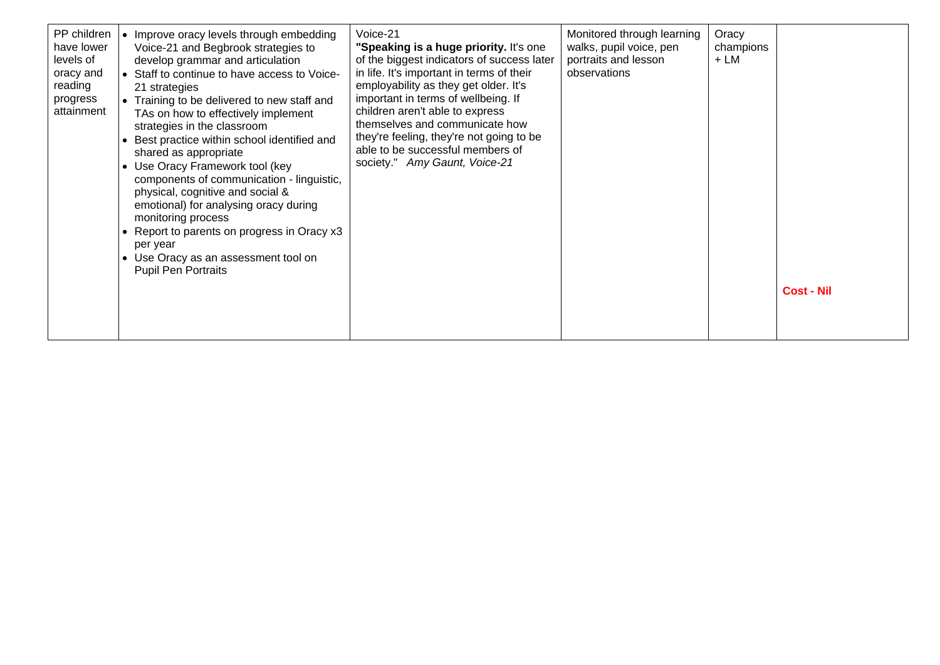| PP children<br>Voice-21<br>• Improve oracy levels through embedding<br>have lower<br>Voice-21 and Begbrook strategies to<br>levels of<br>develop grammar and articulation<br>• Staff to continue to have access to Voice-<br>oracy and<br>reading<br>21 strategies<br>progress<br>• Training to be delivered to new staff and<br>children aren't able to express<br>attainment<br>TAs on how to effectively implement<br>strategies in the classroom<br>Best practice within school identified and<br>shared as appropriate<br>society." Amy Gaunt, Voice-21<br>• Use Oracy Framework tool (key<br>components of communication - linguistic,<br>physical, cognitive and social &<br>emotional) for analysing oracy during<br>monitoring process<br>• Report to parents on progress in Oracy x3<br>per year<br>• Use Oracy as an assessment tool on<br><b>Pupil Pen Portraits</b> | Monitored through learning<br>walks, pupil voice, pen<br>"Speaking is a huge priority. It's one<br>portraits and lesson<br>of the biggest indicators of success later<br>in life. It's important in terms of their<br>observations<br>employability as they get older. It's<br>important in terms of wellbeing. If<br>themselves and communicate how<br>they're feeling, they're not going to be<br>able to be successful members of | Oracy<br>champions<br>$+LM$ | <b>Cost - Nil</b> |
|----------------------------------------------------------------------------------------------------------------------------------------------------------------------------------------------------------------------------------------------------------------------------------------------------------------------------------------------------------------------------------------------------------------------------------------------------------------------------------------------------------------------------------------------------------------------------------------------------------------------------------------------------------------------------------------------------------------------------------------------------------------------------------------------------------------------------------------------------------------------------------|--------------------------------------------------------------------------------------------------------------------------------------------------------------------------------------------------------------------------------------------------------------------------------------------------------------------------------------------------------------------------------------------------------------------------------------|-----------------------------|-------------------|
|----------------------------------------------------------------------------------------------------------------------------------------------------------------------------------------------------------------------------------------------------------------------------------------------------------------------------------------------------------------------------------------------------------------------------------------------------------------------------------------------------------------------------------------------------------------------------------------------------------------------------------------------------------------------------------------------------------------------------------------------------------------------------------------------------------------------------------------------------------------------------------|--------------------------------------------------------------------------------------------------------------------------------------------------------------------------------------------------------------------------------------------------------------------------------------------------------------------------------------------------------------------------------------------------------------------------------------|-----------------------------|-------------------|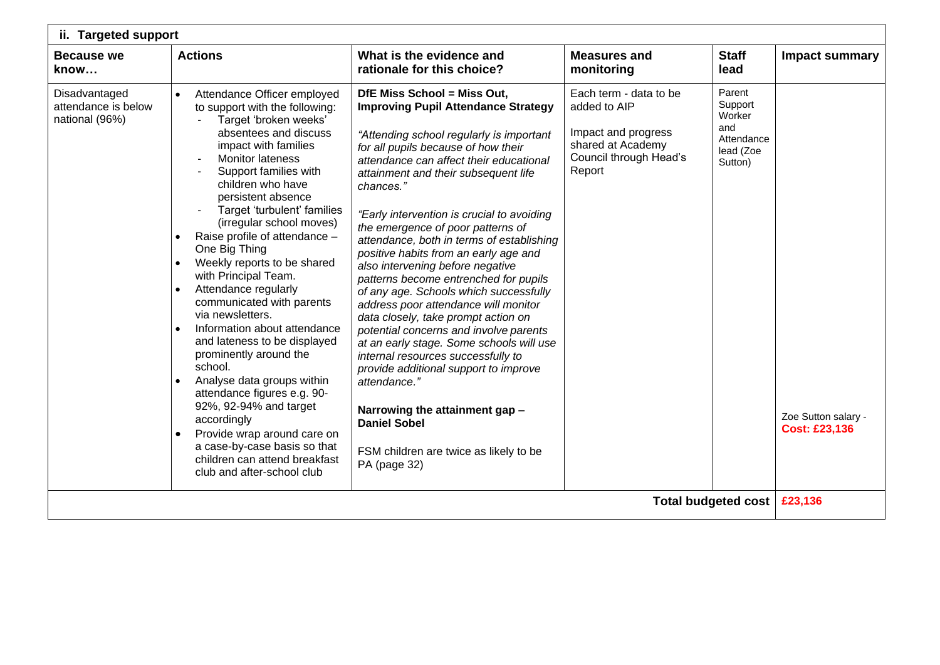| ii. Targeted support                                   |                                                                                                                                                                                                                                                                                                                                                                                                                                                                                                                                                                                                                                                                                                                                                                                                                                                                                                                         |                                                                                                                                                                                                                                                                                                                                                                                                                                                                                                                                                                                                                                                                                                                                                                                                                                                                                                                                                     |                                                                                                                        |                                                                          |                                             |
|--------------------------------------------------------|-------------------------------------------------------------------------------------------------------------------------------------------------------------------------------------------------------------------------------------------------------------------------------------------------------------------------------------------------------------------------------------------------------------------------------------------------------------------------------------------------------------------------------------------------------------------------------------------------------------------------------------------------------------------------------------------------------------------------------------------------------------------------------------------------------------------------------------------------------------------------------------------------------------------------|-----------------------------------------------------------------------------------------------------------------------------------------------------------------------------------------------------------------------------------------------------------------------------------------------------------------------------------------------------------------------------------------------------------------------------------------------------------------------------------------------------------------------------------------------------------------------------------------------------------------------------------------------------------------------------------------------------------------------------------------------------------------------------------------------------------------------------------------------------------------------------------------------------------------------------------------------------|------------------------------------------------------------------------------------------------------------------------|--------------------------------------------------------------------------|---------------------------------------------|
| <b>Because we</b><br>know                              | <b>Actions</b>                                                                                                                                                                                                                                                                                                                                                                                                                                                                                                                                                                                                                                                                                                                                                                                                                                                                                                          | What is the evidence and<br>rationale for this choice?                                                                                                                                                                                                                                                                                                                                                                                                                                                                                                                                                                                                                                                                                                                                                                                                                                                                                              | <b>Measures and</b><br>monitoring                                                                                      | <b>Staff</b><br>lead                                                     | <b>Impact summary</b>                       |
| Disadvantaged<br>attendance is below<br>national (96%) | Attendance Officer employed<br>$\bullet$<br>to support with the following:<br>Target 'broken weeks'<br>absentees and discuss<br>impact with families<br><b>Monitor lateness</b><br>Support families with<br>children who have<br>persistent absence<br>Target 'turbulent' families<br>(irregular school moves)<br>Raise profile of attendance -<br>$\bullet$<br>One Big Thing<br>Weekly reports to be shared<br>$\bullet$<br>with Principal Team.<br>Attendance regularly<br>$\bullet$<br>communicated with parents<br>via newsletters.<br>Information about attendance<br>$\bullet$<br>and lateness to be displayed<br>prominently around the<br>school.<br>Analyse data groups within<br>$\bullet$<br>attendance figures e.g. 90-<br>92%, 92-94% and target<br>accordingly<br>Provide wrap around care on<br>$\bullet$<br>a case-by-case basis so that<br>children can attend breakfast<br>club and after-school club | DfE Miss School = Miss Out,<br><b>Improving Pupil Attendance Strategy</b><br>"Attending school regularly is important<br>for all pupils because of how their<br>attendance can affect their educational<br>attainment and their subsequent life<br>chances."<br>"Early intervention is crucial to avoiding<br>the emergence of poor patterns of<br>attendance, both in terms of establishing<br>positive habits from an early age and<br>also intervening before negative<br>patterns become entrenched for pupils<br>of any age. Schools which successfully<br>address poor attendance will monitor<br>data closely, take prompt action on<br>potential concerns and involve parents<br>at an early stage. Some schools will use<br>internal resources successfully to<br>provide additional support to improve<br>attendance."<br>Narrowing the attainment gap -<br><b>Daniel Sobel</b><br>FSM children are twice as likely to be<br>PA (page 32) | Each term - data to be<br>added to AIP<br>Impact and progress<br>shared at Academy<br>Council through Head's<br>Report | Parent<br>Support<br>Worker<br>and<br>Attendance<br>lead (Zoe<br>Sutton) | Zoe Sutton salary -<br><b>Cost: £23,136</b> |
|                                                        |                                                                                                                                                                                                                                                                                                                                                                                                                                                                                                                                                                                                                                                                                                                                                                                                                                                                                                                         |                                                                                                                                                                                                                                                                                                                                                                                                                                                                                                                                                                                                                                                                                                                                                                                                                                                                                                                                                     |                                                                                                                        | <b>Total budgeted cost</b>                                               | £23,136                                     |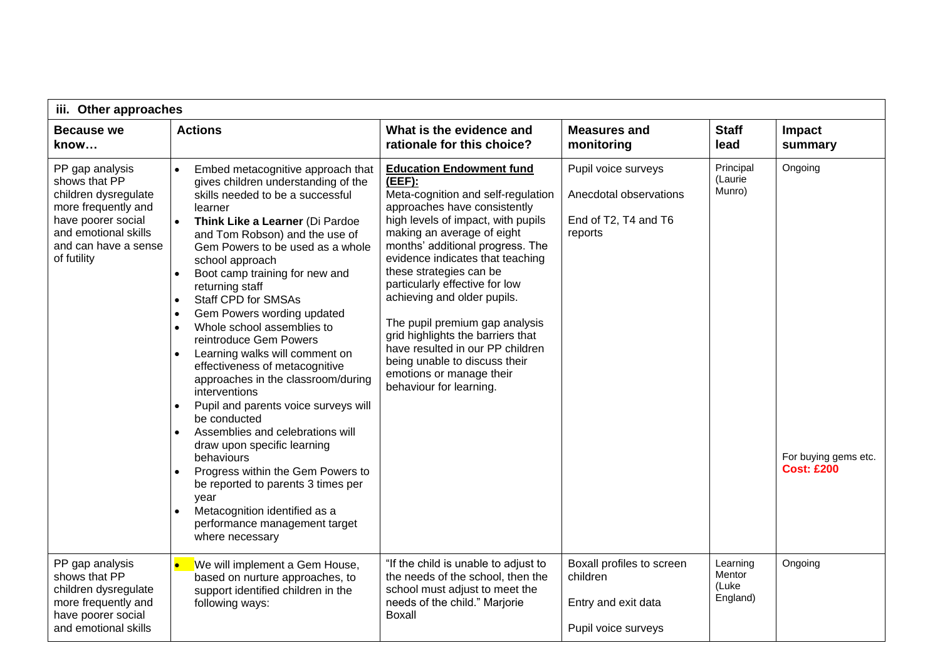| iii. Other approaches                                                                                                                                                |                                                                                                                                                                                                                                                                                                                                                                                                                                                                                                                                                                                                                                                                                                                                                                                                                                                                                                                                                                                                            |                                                                                                                                                                                                                                                                                                                                                                                                                                                                                                                                                               |                                                                                     |                                         |                                                      |  |  |
|----------------------------------------------------------------------------------------------------------------------------------------------------------------------|------------------------------------------------------------------------------------------------------------------------------------------------------------------------------------------------------------------------------------------------------------------------------------------------------------------------------------------------------------------------------------------------------------------------------------------------------------------------------------------------------------------------------------------------------------------------------------------------------------------------------------------------------------------------------------------------------------------------------------------------------------------------------------------------------------------------------------------------------------------------------------------------------------------------------------------------------------------------------------------------------------|---------------------------------------------------------------------------------------------------------------------------------------------------------------------------------------------------------------------------------------------------------------------------------------------------------------------------------------------------------------------------------------------------------------------------------------------------------------------------------------------------------------------------------------------------------------|-------------------------------------------------------------------------------------|-----------------------------------------|------------------------------------------------------|--|--|
| <b>Because we</b><br>know                                                                                                                                            | <b>Actions</b>                                                                                                                                                                                                                                                                                                                                                                                                                                                                                                                                                                                                                                                                                                                                                                                                                                                                                                                                                                                             | What is the evidence and<br>rationale for this choice?                                                                                                                                                                                                                                                                                                                                                                                                                                                                                                        | <b>Measures and</b><br>monitoring                                                   | <b>Staff</b><br>lead                    | Impact<br>summary                                    |  |  |
| PP gap analysis<br>shows that PP<br>children dysregulate<br>more frequently and<br>have poorer social<br>and emotional skills<br>and can have a sense<br>of futility | Embed metacognitive approach that<br>$\bullet$<br>gives children understanding of the<br>skills needed to be a successful<br>learner<br>$\bullet$<br>Think Like a Learner (Di Pardoe<br>and Tom Robson) and the use of<br>Gem Powers to be used as a whole<br>school approach<br>Boot camp training for new and<br>$\bullet$<br>returning staff<br><b>Staff CPD for SMSAs</b><br>$\bullet$<br>Gem Powers wording updated<br>$\bullet$<br>Whole school assemblies to<br>$\bullet$<br>reintroduce Gem Powers<br>Learning walks will comment on<br>$\bullet$<br>effectiveness of metacognitive<br>approaches in the classroom/during<br>interventions<br>Pupil and parents voice surveys will<br>$\bullet$<br>be conducted<br>Assemblies and celebrations will<br>$\bullet$<br>draw upon specific learning<br>behaviours<br>Progress within the Gem Powers to<br>be reported to parents 3 times per<br>year<br>Metacognition identified as a<br>$\bullet$<br>performance management target<br>where necessary | <b>Education Endowment fund</b><br>$(EEF)$ :<br>Meta-cognition and self-regulation<br>approaches have consistently<br>high levels of impact, with pupils<br>making an average of eight<br>months' additional progress. The<br>evidence indicates that teaching<br>these strategies can be<br>particularly effective for low<br>achieving and older pupils.<br>The pupil premium gap analysis<br>grid highlights the barriers that<br>have resulted in our PP children<br>being unable to discuss their<br>emotions or manage their<br>behaviour for learning. | Pupil voice surveys<br>Anecdotal observations<br>End of T2, T4 and T6<br>reports    | Principal<br>(Laurie<br>Munro)          | Ongoing<br>For buying gems etc.<br><b>Cost: £200</b> |  |  |
| PP gap analysis<br>shows that PP<br>children dysregulate<br>more frequently and<br>have poorer social<br>and emotional skills                                        | We will implement a Gem House,<br>based on nurture approaches, to<br>support identified children in the<br>following ways:                                                                                                                                                                                                                                                                                                                                                                                                                                                                                                                                                                                                                                                                                                                                                                                                                                                                                 | "If the child is unable to adjust to<br>the needs of the school, then the<br>school must adjust to meet the<br>needs of the child." Marjorie<br><b>Boxall</b>                                                                                                                                                                                                                                                                                                                                                                                                 | Boxall profiles to screen<br>children<br>Entry and exit data<br>Pupil voice surveys | Learning<br>Mentor<br>(Luke<br>England) | Ongoing                                              |  |  |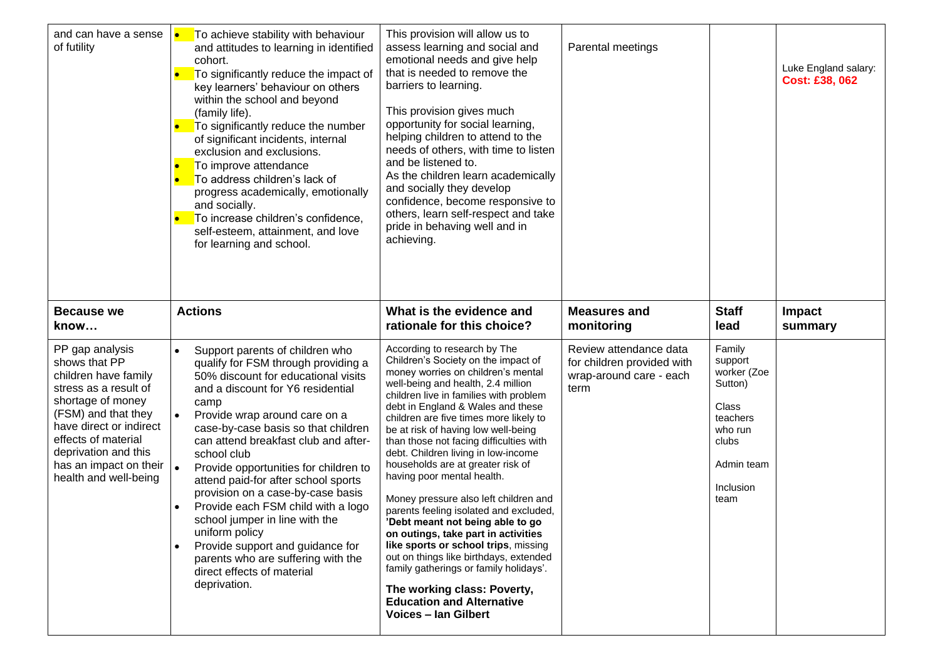| and can have a sense<br>of futility                                                                                                                                                                                                                                              | To achieve stability with behaviour<br>and attitudes to learning in identified<br>cohort.<br>To significantly reduce the impact of<br>key learners' behaviour on others<br>within the school and beyond<br>(family life).<br>To significantly reduce the number<br>$\bullet$<br>of significant incidents, internal<br>exclusion and exclusions.<br>To improve attendance<br>$\bullet$<br>To address children's lack of<br>progress academically, emotionally<br>and socially.<br>To increase children's confidence,<br>self-esteem, attainment, and love<br>for learning and school.                                                          | This provision will allow us to<br>assess learning and social and<br>emotional needs and give help<br>that is needed to remove the<br>barriers to learning.<br>This provision gives much<br>opportunity for social learning,<br>helping children to attend to the<br>needs of others, with time to listen<br>and be listened to.<br>As the children learn academically<br>and socially they develop<br>confidence, become responsive to<br>others, learn self-respect and take<br>pride in behaving well and in<br>achieving.                                                                                                                                                                                                                                                                                                                             | Parental meetings                                                                       |                                                                                                                         | Luke England salary:<br><b>Cost: £38, 062</b> |
|----------------------------------------------------------------------------------------------------------------------------------------------------------------------------------------------------------------------------------------------------------------------------------|-----------------------------------------------------------------------------------------------------------------------------------------------------------------------------------------------------------------------------------------------------------------------------------------------------------------------------------------------------------------------------------------------------------------------------------------------------------------------------------------------------------------------------------------------------------------------------------------------------------------------------------------------|-----------------------------------------------------------------------------------------------------------------------------------------------------------------------------------------------------------------------------------------------------------------------------------------------------------------------------------------------------------------------------------------------------------------------------------------------------------------------------------------------------------------------------------------------------------------------------------------------------------------------------------------------------------------------------------------------------------------------------------------------------------------------------------------------------------------------------------------------------------|-----------------------------------------------------------------------------------------|-------------------------------------------------------------------------------------------------------------------------|-----------------------------------------------|
| <b>Because we</b><br>know                                                                                                                                                                                                                                                        | <b>Actions</b>                                                                                                                                                                                                                                                                                                                                                                                                                                                                                                                                                                                                                                | What is the evidence and<br>rationale for this choice?                                                                                                                                                                                                                                                                                                                                                                                                                                                                                                                                                                                                                                                                                                                                                                                                    | <b>Measures and</b><br>monitoring                                                       | <b>Staff</b><br>lead                                                                                                    | <b>Impact</b><br>summary                      |
| PP gap analysis<br>shows that PP<br>children have family<br>stress as a result of<br>shortage of money<br>(FSM) and that they<br>have direct or indirect<br>effects of material<br>deprivation and this<br>has an impact on their $\vert \bullet \vert$<br>health and well-being | Support parents of children who<br>$\bullet$<br>qualify for FSM through providing a<br>50% discount for educational visits<br>and a discount for Y6 residential<br>camp<br>Provide wrap around care on a<br>case-by-case basis so that children<br>can attend breakfast club and after-<br>school club<br>Provide opportunities for children to<br>attend paid-for after school sports<br>provision on a case-by-case basis<br>Provide each FSM child with a logo<br>school jumper in line with the<br>uniform policy<br>Provide support and guidance for<br>parents who are suffering with the<br>direct effects of material<br>deprivation. | According to research by The<br>Children's Society on the impact of<br>money worries on children's mental<br>well-being and health, 2.4 million<br>children live in families with problem<br>debt in England & Wales and these<br>children are five times more likely to<br>be at risk of having low well-being<br>than those not facing difficulties with<br>debt. Children living in low-income<br>households are at greater risk of<br>having poor mental health.<br>Money pressure also left children and<br>parents feeling isolated and excluded,<br>'Debt meant not being able to go<br>on outings, take part in activities<br>like sports or school trips, missing<br>out on things like birthdays, extended<br>family gatherings or family holidays'.<br>The working class: Poverty,<br><b>Education and Alternative</b><br>Voices - Ian Gilbert | Review attendance data<br>for children provided with<br>wrap-around care - each<br>term | Family<br>support<br>worker (Zoe<br>Sutton)<br>Class<br>teachers<br>who run<br>clubs<br>Admin team<br>Inclusion<br>team |                                               |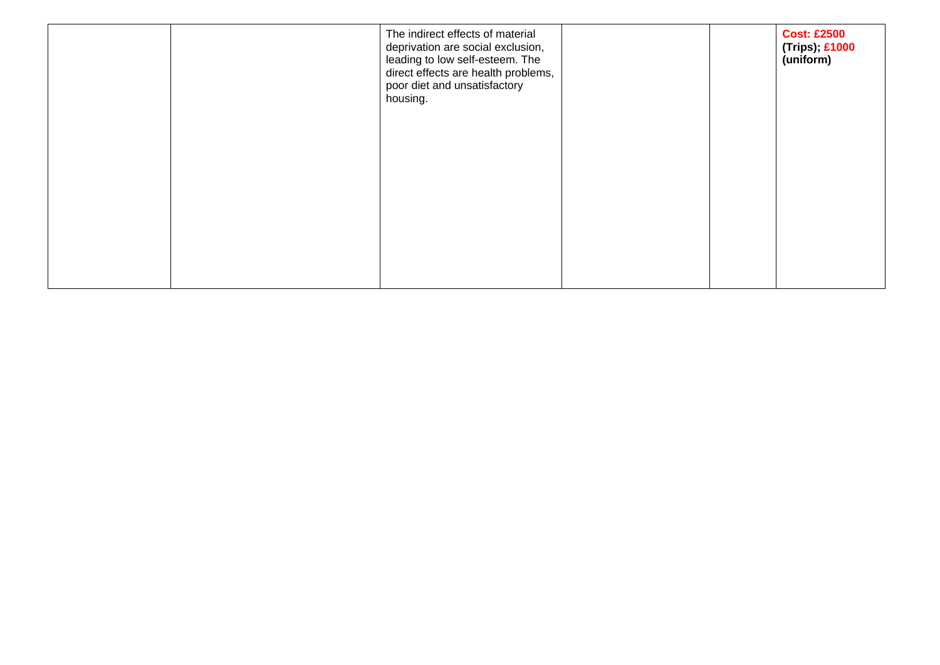|  | The indirect effects of material<br>deprivation are social exclusion,<br>leading to low self-esteem. The<br>direct effects are health problems,<br>poor diet and unsatisfactory<br>housing. |  | <b>Cost: £2500</b><br>(Trips); £1000<br>(uniform) |
|--|---------------------------------------------------------------------------------------------------------------------------------------------------------------------------------------------|--|---------------------------------------------------|
|  |                                                                                                                                                                                             |  |                                                   |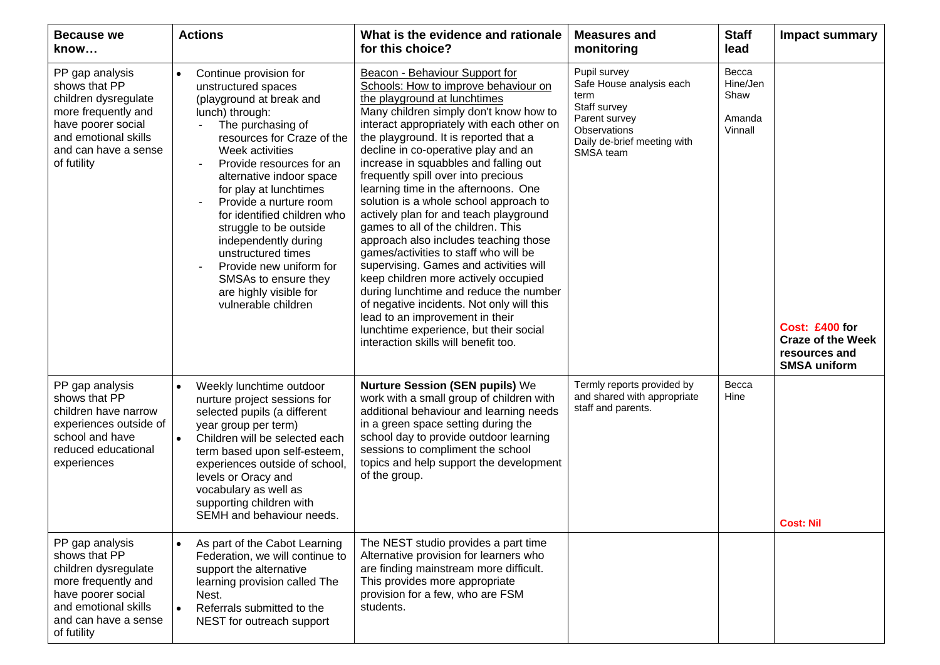| <b>Because we</b><br>know                                                                                                                                            | <b>Actions</b>                                                                                                                                                                                                                                                                                                                                                                                                                                                                            | What is the evidence and rationale<br>for this choice?                                                                                                                                                                                                                                                                                                                                                                                                                                                                                                                                                                                                                                                                                                                                                                                                                                                          | <b>Measures and</b><br>monitoring                                                                                                             | <b>Staff</b><br>lead                           | <b>Impact summary</b>                                                              |
|----------------------------------------------------------------------------------------------------------------------------------------------------------------------|-------------------------------------------------------------------------------------------------------------------------------------------------------------------------------------------------------------------------------------------------------------------------------------------------------------------------------------------------------------------------------------------------------------------------------------------------------------------------------------------|-----------------------------------------------------------------------------------------------------------------------------------------------------------------------------------------------------------------------------------------------------------------------------------------------------------------------------------------------------------------------------------------------------------------------------------------------------------------------------------------------------------------------------------------------------------------------------------------------------------------------------------------------------------------------------------------------------------------------------------------------------------------------------------------------------------------------------------------------------------------------------------------------------------------|-----------------------------------------------------------------------------------------------------------------------------------------------|------------------------------------------------|------------------------------------------------------------------------------------|
| PP gap analysis<br>shows that PP<br>children dysregulate<br>more frequently and<br>have poorer social<br>and emotional skills<br>and can have a sense<br>of futility | Continue provision for<br>unstructured spaces<br>(playground at break and<br>lunch) through:<br>The purchasing of<br>resources for Craze of the<br>Week activities<br>Provide resources for an<br>alternative indoor space<br>for play at lunchtimes<br>Provide a nurture room<br>for identified children who<br>struggle to be outside<br>independently during<br>unstructured times<br>Provide new uniform for<br>SMSAs to ensure they<br>are highly visible for<br>vulnerable children | Beacon - Behaviour Support for<br>Schools: How to improve behaviour on<br>the playground at lunchtimes<br>Many children simply don't know how to<br>interact appropriately with each other on<br>the playground. It is reported that a<br>decline in co-operative play and an<br>increase in squabbles and falling out<br>frequently spill over into precious<br>learning time in the afternoons. One<br>solution is a whole school approach to<br>actively plan for and teach playground<br>games to all of the children. This<br>approach also includes teaching those<br>games/activities to staff who will be<br>supervising. Games and activities will<br>keep children more actively occupied<br>during lunchtime and reduce the number<br>of negative incidents. Not only will this<br>lead to an improvement in their<br>lunchtime experience, but their social<br>interaction skills will benefit too. | Pupil survey<br>Safe House analysis each<br>term<br>Staff survey<br>Parent survey<br>Observations<br>Daily de-brief meeting with<br>SMSA team | Becca<br>Hine/Jen<br>Shaw<br>Amanda<br>Vinnall | Cost: £400 for<br><b>Craze of the Week</b><br>resources and<br><b>SMSA uniform</b> |
| PP gap analysis<br>shows that PP<br>children have narrow<br>experiences outside of<br>school and have<br>reduced educational<br>experiences                          | Weekly lunchtime outdoor<br>$\bullet$<br>nurture project sessions for<br>selected pupils (a different<br>year group per term)<br>Children will be selected each<br>term based upon self-esteem,<br>experiences outside of school,<br>levels or Oracy and<br>vocabulary as well as<br>supporting children with<br>SEMH and behaviour needs.                                                                                                                                                | <b>Nurture Session (SEN pupils) We</b><br>work with a small group of children with<br>additional behaviour and learning needs<br>in a green space setting during the<br>school day to provide outdoor learning<br>sessions to compliment the school<br>topics and help support the development<br>of the group.                                                                                                                                                                                                                                                                                                                                                                                                                                                                                                                                                                                                 | Termly reports provided by<br>and shared with appropriate<br>staff and parents.                                                               | Becca<br>Hine                                  | <b>Cost: Nil</b>                                                                   |
| PP gap analysis<br>shows that PP<br>children dysregulate<br>more frequently and<br>have poorer social<br>and emotional skills<br>and can have a sense<br>of futility | As part of the Cabot Learning<br>Federation, we will continue to<br>support the alternative<br>learning provision called The<br>Nest.<br>Referrals submitted to the<br>NEST for outreach support                                                                                                                                                                                                                                                                                          | The NEST studio provides a part time<br>Alternative provision for learners who<br>are finding mainstream more difficult.<br>This provides more appropriate<br>provision for a few, who are FSM<br>students.                                                                                                                                                                                                                                                                                                                                                                                                                                                                                                                                                                                                                                                                                                     |                                                                                                                                               |                                                |                                                                                    |